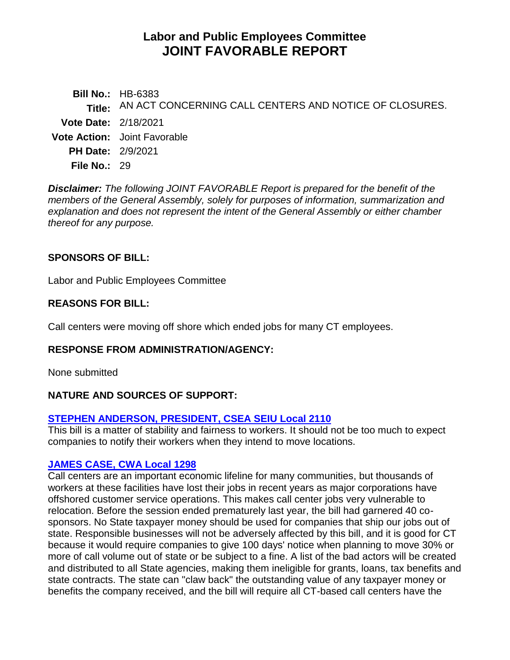# **Labor and Public Employees Committee JOINT FAVORABLE REPORT**

**Bill No.:** HB-6383 **Title:** AN ACT CONCERNING CALL CENTERS AND NOTICE OF CLOSURES. **Vote Date:** 2/18/2021 **Vote Action:** Joint Favorable **PH Date:** 2/9/2021 **File No.:** 29

*Disclaimer: The following JOINT FAVORABLE Report is prepared for the benefit of the members of the General Assembly, solely for purposes of information, summarization and explanation and does not represent the intent of the General Assembly or either chamber thereof for any purpose.*

# **SPONSORS OF BILL:**

Labor and Public Employees Committee

#### **REASONS FOR BILL:**

Call centers were moving off shore which ended jobs for many CT employees.

#### **RESPONSE FROM ADMINISTRATION/AGENCY:**

None submitted

# **NATURE AND SOURCES OF SUPPORT:**

# **[STEPHEN ANDERSON, PRESIDENT, CSEA SEIU Local 2110](https://www.cga.ct.gov/2021/labdata/tmy/2021HB-06383-R000209-Anderson,%20Stephen,%20President-CSEA%20SEIU%20Local%202001-TMY.PDF)**

This bill is a matter of stability and fairness to workers. It should not be too much to expect companies to notify their workers when they intend to move locations.

#### **[JAMES CASE, CWA Local 1298](https://www.cga.ct.gov/2021/labdata/tmy/2021HB-06383-R000209-Case,%20James-CWA%20Local%201298-TMY.PDF)**

Call centers are an important economic lifeline for many communities, but thousands of workers at these facilities have lost their jobs in recent years as major corporations have offshored customer service operations. This makes call center jobs very vulnerable to relocation. Before the session ended prematurely last year, the bill had garnered 40 cosponsors. No State taxpayer money should be used for companies that ship our jobs out of state. Responsible businesses will not be adversely affected by this bill, and it is good for CT because it would require companies to give 100 days' notice when planning to move 30% or more of call volume out of state or be subject to a fine. A list of the bad actors will be created and distributed to all State agencies, making them ineligible for grants, loans, tax benefits and state contracts. The state can "claw back" the outstanding value of any taxpayer money or benefits the company received, and the bill will require all CT-based call centers have the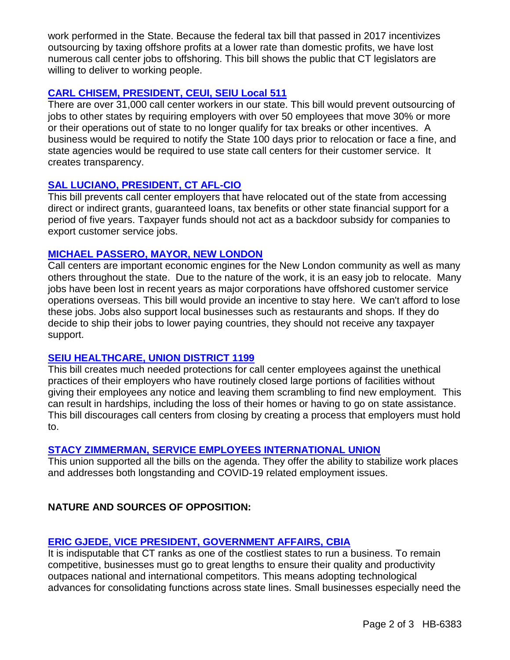work performed in the State. Because the federal tax bill that passed in 2017 incentivizes outsourcing by taxing offshore profits at a lower rate than domestic profits, we have lost numerous call center jobs to offshoring. This bill shows the public that CT legislators are willing to deliver to working people.

# **[CARL CHISEM, PRESIDENT, CEUI, SEIU Local 511](https://www.cga.ct.gov/2021/labdata/tmy/2021HB-06383-R000209-Chisem,%20Carl,%20President-CEUI%20SEIU%20Local%20511-TMY.PDF)**

There are over 31,000 call center workers in our state. This bill would prevent outsourcing of jobs to other states by requiring employers with over 50 employees that move 30% or more or their operations out of state to no longer qualify for tax breaks or other incentives. A business would be required to notify the State 100 days prior to relocation or face a fine, and state agencies would be required to use state call centers for their customer service. It creates transparency.

# **[SAL LUCIANO, PRESIDENT, CT AFL-CIO](https://www.cga.ct.gov/2021/labdata/tmy/2021HB-06383-R000209-Luciano,%20Sal,%20President-Connecticut%20AFL-CIO-TMY.PDF)**

This bill prevents call center employers that have relocated out of the state from accessing direct or indirect grants, guaranteed loans, tax benefits or other state financial support for a period of five years. Taxpayer funds should not act as a backdoor subsidy for companies to export customer service jobs.

# **[MICHAEL PASSERO, MAYOR, NEW LONDON](https://www.cga.ct.gov/2021/labdata/tmy/2021HB-06383-R000209-Passero,%20Michael,%20Mayor%20of%20New%20London-City%20of%20New%20London%20Office%20of%20the%20Mayor-TMY.PDF)**

Call centers are important economic engines for the New London community as well as many others throughout the state. Due to the nature of the work, it is an easy job to relocate. Many jobs have been lost in recent years as major corporations have offshored customer service operations overseas. This bill would provide an incentive to stay here. We can't afford to lose these jobs. Jobs also support local businesses such as restaurants and shops. If they do decide to ship their jobs to lower paying countries, they should not receive any taxpayer support.

# **[SEIU HEALTHCARE, UNION DISTRICT 1199](https://www.cga.ct.gov/2021/labdata/tmy/2021HB-06383-R000209-SEIU%201199NE-TMY.PDF)**

This bill creates much needed protections for call center employees against the unethical practices of their employers who have routinely closed large portions of facilities without giving their employees any notice and leaving them scrambling to find new employment. This can result in hardships, including the loss of their homes or having to go on state assistance. This bill discourages call centers from closing by creating a process that employers must hold to.

# **[STACY ZIMMERMAN, SERVICE EMPLOYEES INTERNATIONAL UNION](https://www.cga.ct.gov/2021/labdata/tmy/2021HB-06383-R000209-Zimmerman,%20Stacey-Service%20Employees%20International%20Union-TMY.PDF)**

This union supported all the bills on the agenda. They offer the ability to stabilize work places and addresses both longstanding and COVID-19 related employment issues.

# **NATURE AND SOURCES OF OPPOSITION:**

# **[ERIC GJEDE, VICE PRESIDENT, GOVERNMENT AFFAIRS, CBIA](https://www.cga.ct.gov/2021/labdata/tmy/2021HB-06383-R000209-Gjede,%20Eric,%20Vice%20President%20of%20Govt%20Affairs-CBIA-TMY.PDF)**

It is indisputable that CT ranks as one of the costliest states to run a business. To remain competitive, businesses must go to great lengths to ensure their quality and productivity outpaces national and international competitors. This means adopting technological advances for consolidating functions across state lines. Small businesses especially need the